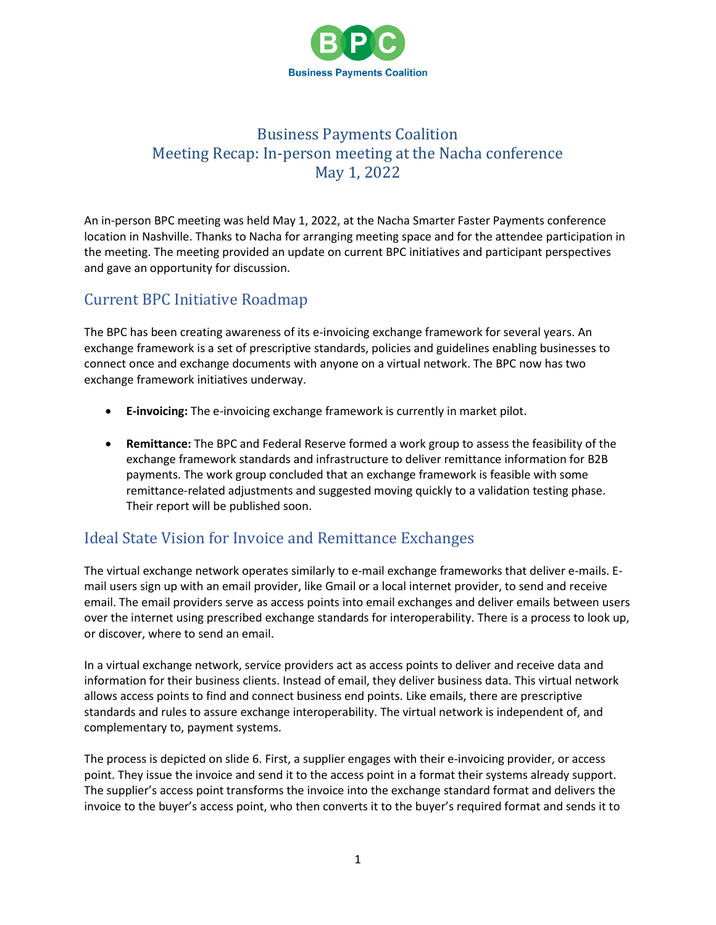

# Business Payments Coalition Meeting Recap: In-person meeting at the Nacha conference May 1, 2022

An in-person BPC meeting was held May 1, 2022, at the Nacha Smarter Faster Payments conference location in Nashville. Thanks to Nacha for arranging meeting space and for the attendee participation in the meeting. The meeting provided an update on current BPC initiatives and participant perspectives and gave an opportunity for discussion.

# Current BPC Initiative Roadmap

The BPC has been creating awareness of its e-invoicing exchange framework for several years. An exchange framework is a set of prescriptive standards, policies and guidelines enabling businesses to connect once and exchange documents with anyone on a virtual network. The BPC now has two exchange framework initiatives underway.

- **E-invoicing:** The e-invoicing exchange framework is currently in market pilot.
- **Remittance:** The BPC and Federal Reserve formed a work group to assess the feasibility of the exchange framework standards and infrastructure to deliver remittance information for B2B payments. The work group concluded that an exchange framework is feasible with some remittance-related adjustments and suggested moving quickly to a validation testing phase. Their report will be published soon.

# Ideal State Vision for Invoice and Remittance Exchanges

The virtual exchange network operates similarly to e-mail exchange frameworks that deliver e-mails. Email users sign up with an email provider, like Gmail or a local internet provider, to send and receive email. The email providers serve as access points into email exchanges and deliver emails between users over the internet using prescribed exchange standards for interoperability. There is a process to look up, or discover, where to send an email.

In a virtual exchange network, service providers act as access points to deliver and receive data and information for their business clients. Instead of email, they deliver business data. This virtual network allows access points to find and connect business end points. Like emails, there are prescriptive standards and rules to assure exchange interoperability. The virtual network is independent of, and complementary to, payment systems.

The process is depicted on slide 6. First, a supplier engages with their e-invoicing provider, or access point. They issue the invoice and send it to the access point in a format their systems already support. The supplier's access point transforms the invoice into the exchange standard format and delivers the invoice to the buyer's access point, who then converts it to the buyer's required format and sends it to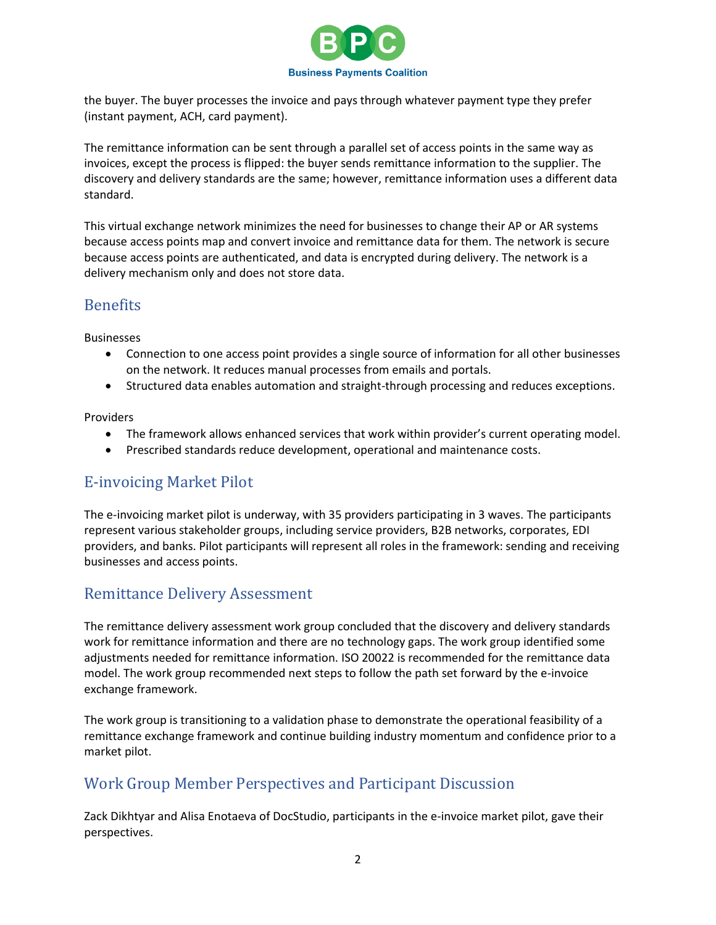

the buyer. The buyer processes the invoice and pays through whatever payment type they prefer (instant payment, ACH, card payment).

The remittance information can be sent through a parallel set of access points in the same way as invoices, except the process is flipped: the buyer sends remittance information to the supplier. The discovery and delivery standards are the same; however, remittance information uses a different data standard.

This virtual exchange network minimizes the need for businesses to change their AP or AR systems because access points map and convert invoice and remittance data for them. The network is secure because access points are authenticated, and data is encrypted during delivery. The network is a delivery mechanism only and does not store data.

### Benefits

Businesses

- Connection to one access point provides a single source of information for all other businesses on the network. It reduces manual processes from emails and portals.
- Structured data enables automation and straight-through processing and reduces exceptions.

Providers

- The framework allows enhanced services that work within provider's current operating model.
- Prescribed standards reduce development, operational and maintenance costs.

### E-invoicing Market Pilot

The e-invoicing market pilot is underway, with 35 providers participating in 3 waves. The participants represent various stakeholder groups, including service providers, B2B networks, corporates, EDI providers, and banks. Pilot participants will represent all roles in the framework: sending and receiving businesses and access points.

# Remittance Delivery Assessment

The remittance delivery assessment work group concluded that the discovery and delivery standards work for remittance information and there are no technology gaps. The work group identified some adjustments needed for remittance information. ISO 20022 is recommended for the remittance data model. The work group recommended next steps to follow the path set forward by the e-invoice exchange framework.

The work group is transitioning to a validation phase to demonstrate the operational feasibility of a remittance exchange framework and continue building industry momentum and confidence prior to a market pilot.

# Work Group Member Perspectives and Participant Discussion

Zack Dikhtyar and Alisa Enotaeva of DocStudio, participants in the e-invoice market pilot, gave their perspectives.